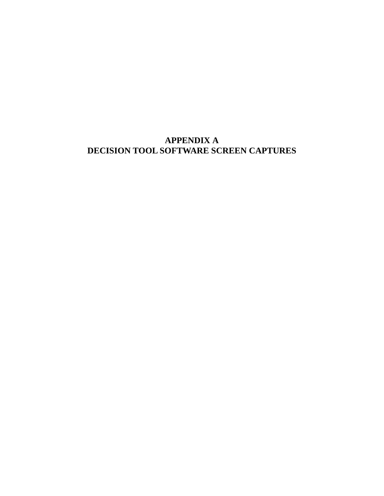# **APPENDIX A DECISION TOOL SOFTWARE SCREEN CAPTURES**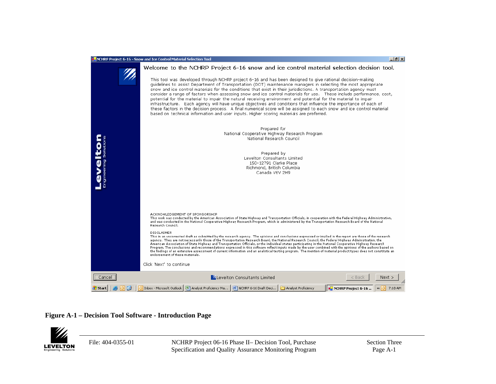

### **Figure A-1 – Decision Tool Software - Introduction Page**



File: 404-0355-01 NCHRP Project 06-16 Phase II– Decision Tool, Purchase Specification and Quality Assurance Monitoring Program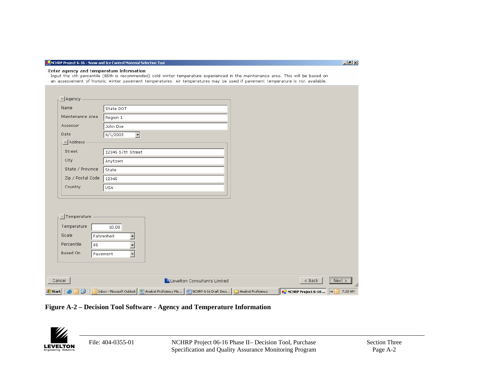#### **DE** NCHRP Project 6-16 - Snow and Ice Control Material Selection Tool

### Enter agency and temperature information

Input the xth percentile (85th is recommended) cold winter temperature experienced in the maintenance area. This will be based on an assessement of historic winter pavement temperatures. Air temperatures may be used if pavement temperature is not available.

| Cancel            |                                      | ZLevelton Consultants Limited | $8$ Back | Next |
|-------------------|--------------------------------------|-------------------------------|----------|------|
|                   |                                      |                               |          |      |
|                   |                                      |                               |          |      |
| Based On          | $\blacktriangleright$<br>Pavement    |                               |          |      |
| Percentile<br>85  | $\overline{\phantom{a}}$             |                               |          |      |
| Scale             | Fahrenheit                           |                               |          |      |
| Temperature       | 10.00                                |                               |          |      |
| -Temperature      |                                      |                               |          |      |
|                   |                                      |                               |          |      |
|                   |                                      |                               |          |      |
| Country           | USA                                  |                               |          |      |
| Zip / Postal Code | 12345                                |                               |          |      |
| State / Province  | State                                |                               |          |      |
| City              | Anytown                              |                               |          |      |
| Street            | 12345 67th Street                    |                               |          |      |
| Address           |                                      |                               |          |      |
| Date              | 6/1/2005<br>$\overline{\phantom{a}}$ |                               |          |      |
| Assessor          | John Doe                             |                               |          |      |
|                   | Region 1                             |                               |          |      |
| Maintenance Area  |                                      |                               |          |      |

**Figure A-2 – Decision Tool Software - Agency and Temperature Information** 



File: 404-0355-01 NCHRP Project 06-16 Phase II– Decision Tool, Purchase Specification and Quality Assurance Monitoring Program  $-10|X|$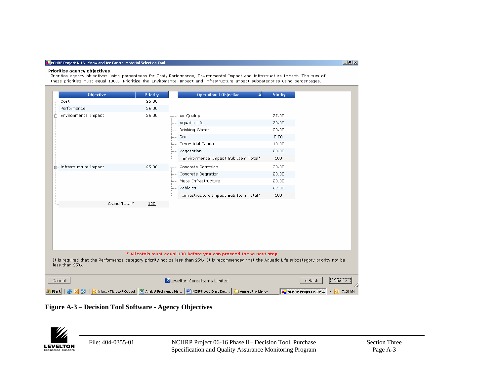#### **DE** NCHRP Project 6-16 - Snow and Ice Control Material Selection Tool

#### Prioritize agency objectives

.<br>Prioritize agency objectives using percentages for Cost, Performance, Environmental Impact and Infrastructure Impact. The sum of these priorities must equal 100%. Prioritize the Enviromental Impact and Infrastructure Impact subcategories using percentages.

|                          | Objective    | <b>Priority</b> | <b>Operational Objective</b><br>$\Delta$                                                                                                                                                                               | <b>Priority</b> |          |
|--------------------------|--------------|-----------------|------------------------------------------------------------------------------------------------------------------------------------------------------------------------------------------------------------------------|-----------------|----------|
| Cost                     |              | 25.00           |                                                                                                                                                                                                                        |                 |          |
| Performance              |              | 25.00           |                                                                                                                                                                                                                        |                 |          |
| 白 Environmental Impact   |              | 25.00           | Air Quality                                                                                                                                                                                                            | 27.00           |          |
|                          |              |                 | Aquatic Life                                                                                                                                                                                                           | 20.00           |          |
|                          |              |                 | Drinking Water                                                                                                                                                                                                         | 20.00           |          |
|                          |              |                 | Soil                                                                                                                                                                                                                   | 0.00            |          |
|                          |              |                 | <b>Terrestrial Fauna</b>                                                                                                                                                                                               | 13.00           |          |
|                          |              |                 | Vegetation                                                                                                                                                                                                             | 20.00           |          |
|                          |              |                 | Environmental Impact Sub Item Total*                                                                                                                                                                                   | 100             |          |
| i- Infrastructure Impact |              | 25.00           | Concrete Corrosion                                                                                                                                                                                                     | 30.00           |          |
|                          |              |                 | Concrete Degration                                                                                                                                                                                                     | 20.00           |          |
|                          |              |                 | Metal Infrastructure                                                                                                                                                                                                   | 28.00           |          |
|                          |              |                 | Vehicles                                                                                                                                                                                                               | 22.00           |          |
|                          |              |                 | Infrastructure Impact Sub Item Total*                                                                                                                                                                                  | 100             |          |
|                          | Grand Total* | 100             |                                                                                                                                                                                                                        |                 |          |
|                          |              |                 |                                                                                                                                                                                                                        |                 |          |
|                          |              |                 |                                                                                                                                                                                                                        |                 |          |
|                          |              |                 |                                                                                                                                                                                                                        |                 |          |
|                          |              |                 |                                                                                                                                                                                                                        |                 |          |
|                          |              |                 |                                                                                                                                                                                                                        |                 |          |
|                          |              |                 |                                                                                                                                                                                                                        |                 |          |
|                          |              |                 |                                                                                                                                                                                                                        |                 |          |
|                          |              |                 |                                                                                                                                                                                                                        |                 |          |
|                          |              |                 | * All totals must equal 100 before you can proceed to the next step<br>It is required that the Performance category priority not be less than 25%. It is recommended that the Aquatic Life subcategory priority not be |                 |          |
|                          |              |                 |                                                                                                                                                                                                                        |                 |          |
|                          |              |                 |                                                                                                                                                                                                                        |                 |          |
| less than 25%.<br>Cancel |              |                 | Levelton Consultants Limited                                                                                                                                                                                           |                 | $<$ Back |

**Figure A-3 – Decision Tool Software - Agency Objectives** 

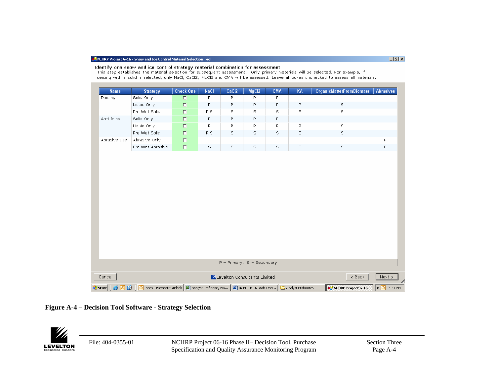Identify one snow and ice control strategy material combination for assessment

#### This step establishes the material selection for subsequent assessment. Only primary materials will be selected. For example, if deicing with a solid is selected, only NaCl, CaCl2, MgCl2 and CMA will be assessed. Leave all boxes unchecked to assess all materials. **Name Strategy Check One NaCl** CaCl<sub>2</sub> MgCl<sub>2</sub> **CMA** KA **OrganicMatterFromBiomass Abrasives** Solid Only  $\overline{P}$  $\overline{P}$  $\overline{P}$ Deicing  $\Box$ P. Liquid Only  $\Box$  $\mathsf P$  $\mathsf{P}% _{\mathsf{P}}$  $\mathsf{P}$  $\mathsf P$  $\mathbb S$ P. Pre Wet Solid  $\Box$  $P, S$  $\mathbb S$  $\mathbb S$ s  $\mathbb S$ s Solid Only  $\Box$  $\mathsf{P}$ P  $\mathsf{P}$ Anti Icing P Liquid Only  $\mathsf{P}$ P  $\mathsf{P}$  $\mathsf{P}% _{\mathsf{P}}$  $\mathbb S$  $\Box$ p. s Pre Wet Solid  $\mathbb S$ п  $P, S$  $\mathbb S$  $\mathbb S$ s Abrasive Only  $\Box$ P Abrasive Use  $\mathsf{P}% _{\mathrm{H}}\left( \mathsf{P}\right)$ Pre Wet Abrasive  $\Box$ s S s s S s  $P = Primary$ ,  $S = Secondary$ ZLevelton Consultants Limited Cancel  $<sub>8</sub>$  Back</sub>  $Next$ <mark>)</mark> Inbox - Microsoft Outlook **| 완 Analyst Proficiency Ma... | 팬 NCHRP 6-16 Draft Deci... |** Analyst Proficiency **E** NCHRP Project 6-16 ...  $\alpha$  **O** 7:21 AM <mark>#</mark> start | |

### **Figure A-4 – Decision Tool Software - Strategy Selection**



File: 404-0355-01 NCHRP Project 06-16 Phase II– Decision Tool, Purchase Specification and Quality Assurance Monitoring Program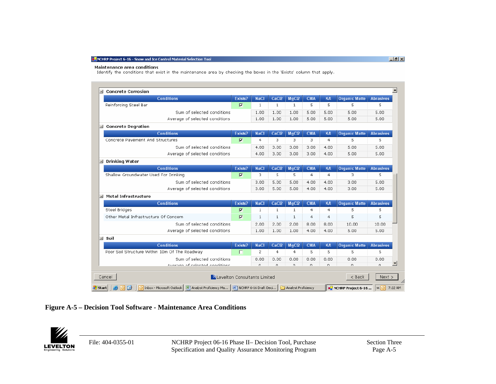#### **Maintenance area conditions**

Identify the conditions that exist in the maintenance area by checking the boxes in the 'Exists' column that apply.

| ■ Concrete Corrosion                                                                                     |                |                |                   |                     |                |                |                             |                         |
|----------------------------------------------------------------------------------------------------------|----------------|----------------|-------------------|---------------------|----------------|----------------|-----------------------------|-------------------------|
| <b>Conditions</b>                                                                                        | Exists?        | <b>NaCl</b>    | CaCl <sub>2</sub> | MgCl <sub>2</sub>   | <b>CMA</b>     | <b>KA</b>      | <b>Organic Matte</b>        | <b>Abrasives</b>        |
| Reinforcing Steel Bar                                                                                    | $\overline{M}$ | $\mathbf{1}$   | $\mathbf{1}$      | $\mathbf{1}$        | 5              | 5              | 5                           | 5                       |
| Sum of selected conditions                                                                               |                | 1.00           | 1.00              | 1.00                | 5.00           | 5.00           | 5.00                        | 5.00                    |
| Average of selected conditions                                                                           |                | 1.00           | 1.00              | 1.00                | 5.00           | 5.00           | 5.00                        | 5.00                    |
| ■ Concrete Degration                                                                                     |                |                |                   |                     |                |                |                             |                         |
| <b>Conditions</b>                                                                                        | Exists?        | <b>NaCl</b>    | CaCl <sub>2</sub> | MgCl <sub>2</sub>   | <b>CMA</b>     | KA             | <b>Organic Matte</b>        | <b>Abrasives</b>        |
| Concrete Pavement And Structures                                                                         | $\overline{v}$ | $\overline{4}$ | 3.                | 3                   | 3              | $\overline{4}$ | 5.                          | 5                       |
| Sum of selected conditions                                                                               |                | 4.00           | 3.00              | 3.00                | 3.00           | 4.00           | 5.00                        | 5.00                    |
| Average of selected conditions                                                                           |                | 4.00           | 3.00              | 3.00                | 3.00           | 4.00           | 5.00                        | 5.00                    |
| ■ Drinking Water                                                                                         |                |                |                   |                     |                |                |                             |                         |
| <b>Conditions</b>                                                                                        | Exists?        | <b>NaCl</b>    | CaCl <sub>2</sub> | MqCl2               | <b>CMA</b>     | KA             | <b>Organic Matte</b>        | <b>Abrasives</b>        |
| Shallow Groundwater Used For Drinking                                                                    | $\overline{M}$ | 3              | 5                 | 5                   | $\overline{4}$ | $\overline{4}$ | 3.                          | 5                       |
| Sum of selected conditions                                                                               |                | 3.00           | 5.00              | 5.00                | 4.00           | 4.00           | 3.00                        | 5.00                    |
| Average of selected conditions                                                                           |                | 3.00           | 5.00              | 5.00                | 4.00.          | 4.00           | 3.00                        | 5.00                    |
| ■ Metal Infrastructure                                                                                   |                |                |                   |                     |                |                |                             |                         |
| <b>Conditions</b>                                                                                        | Exists?        | <b>NaCl</b>    | CaCl <sub>2</sub> | MgCl <sub>2</sub>   | <b>CMA</b>     | <b>KA</b>      | <b>Organic Matte</b>        | <b>Abrasives</b>        |
| <b>Steel Bridges</b>                                                                                     | $\overline{V}$ | 1              | $\mathbf{1}$      | 1                   | $\overline{4}$ | 4              | 5                           | 5                       |
| Other Metal Infrastructure Of Concern                                                                    | $\overline{V}$ | 1              | $\mathbf{1}$      | $\mathbf{1}$        | $\overline{4}$ | $\overline{4}$ | 5                           | 5                       |
| Sum of selected conditions                                                                               |                | 2.00           | 2.00              | 2.00                | 8.00           | 8.00           | 10.00                       | 10.00                   |
| Average of selected conditions                                                                           |                | 1.00           | 1.00              | 1.00                | 4.00           | 4.00           | 5.00                        | 5.00                    |
| $\equiv$ Soil                                                                                            |                |                |                   |                     |                |                |                             |                         |
| <b>Conditions</b>                                                                                        | Exists?        | <b>NaCl</b>    | CaC <sub>12</sub> | MgCl <sub>2</sub>   | <b>CMA</b>     | KA             | <b>Organic Matte</b>        | <b>Abrasives</b>        |
| Poor Soil Structure Within 10m Of The Roadway                                                            | п              | $\overline{2}$ | $\overline{4}$    | $\overline{4}$      | 5              | 5              | 5.                          | 5                       |
| Sum of selected conditions                                                                               |                | 0.00           | 0.00              | 0.00                | 0.00           | 0.00           | 0.00                        | 0.00                    |
| Averson of colocted conditions                                                                           |                | $\Omega$       | $\Omega$          | O.                  | $\Omega$       | $\Omega$       | $\Omega$                    | $\Omega$                |
| Levelton Consultants Limited<br>Cancel                                                                   |                |                |                   |                     |                |                | $<$ Back                    | Next                    |
|                                                                                                          |                |                |                   |                     |                |                |                             |                         |
| O Inbox - Microsoft Outlook   图 Analyst Proficiency Ma   四 NCHRP 6-16 Draft Deci<br><mark>H</mark> Start |                |                |                   | Analyst Proficiency |                |                | <b>B</b> NCHRP Project 6-16 | $\mathbf{R}$<br>7:22 AM |

## **Figure A-5 – Decision Tool Software - Maintenance Area Conditions**



File: 404-0355-01 NCHRP Project 06-16 Phase II– Decision Tool, Purchase Specification and Quality Assurance Monitoring Program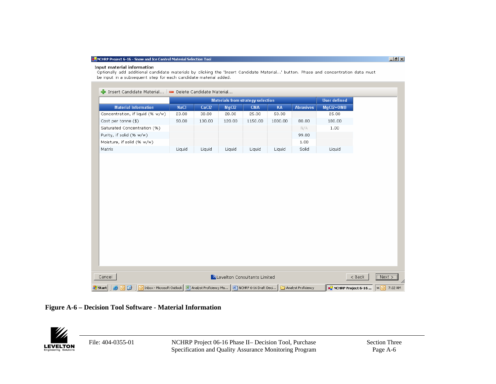#### Input material information

Optionally add additional candidate materials by clicking the 'Insert Candidate Material...' button. Phase and concentration data must be input in a subsequent step for each candidate material added.

|                                                  | Insert Candidate Material   Delete Candidate Material                                    |             |        |        |                                          |         |                     |                     |                             |          |
|--------------------------------------------------|------------------------------------------------------------------------------------------|-------------|--------|--------|------------------------------------------|---------|---------------------|---------------------|-----------------------------|----------|
|                                                  |                                                                                          |             |        |        | <b>Materials from strategy selection</b> |         |                     | <b>User defined</b> |                             |          |
|                                                  | <b>Material Information</b>                                                              | <b>NaCl</b> | CaCl2  | MgCl2  | <b>CMA</b>                               | KA      | <b>Abrasives</b>    | MgCl2+OMB           |                             |          |
|                                                  | Concentration, if liquid (% w/w)                                                         | 23.00       | 30.00  | 28.00  | 25.00                                    | 50.00   |                     | 25.00               |                             |          |
|                                                  | Cost per tonne $(\$)$                                                                    | 50.00       | 130.00 | 120.00 | 1150.00                                  | 1000.00 | 80.00               | 180.00              |                             |          |
|                                                  | Saturated Concentration (%)                                                              |             |        |        |                                          |         | N/A                 | 1.00                |                             |          |
|                                                  | Purity, if solid (% w/w)                                                                 |             |        |        |                                          |         | 99.00               |                     |                             |          |
|                                                  | Moisture, if solid (% w/w)                                                               |             |        |        |                                          |         | 1.00                |                     |                             |          |
| Matrix                                           |                                                                                          | Liquid      | Liquid | Liquid | Liquid                                   | Liquid  | Solid               | Liquid              |                             |          |
|                                                  |                                                                                          |             |        |        |                                          |         |                     |                     |                             |          |
| Cancel                                           |                                                                                          |             |        |        | Levelton Consultants Limited             |         |                     |                     |                             | $8$ Back |
| <mark>#</mark> start<br>$\left( \bullet \right)$ | O Inbox - Microsoft Outlook   관) Analyst Proficiency Ma   관) NCHRP 6-16 Draft Deci<br>回回 |             |        |        |                                          |         | Analyst Proficiency |                     | <b>B</b> NCHRP Project 6-16 |          |

### **Figure A-6 – Decision Tool Software - Material Information**



File: 404-0355-01 NCHRP Project 06-16 Phase II– Decision Tool, Purchase Specification and Quality Assurance Monitoring Program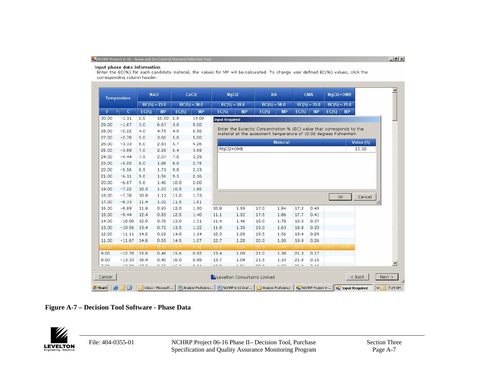#### Input phase data information

Enter the EC(%) for each candidate material, the values for MP will be calculated. To change user defined EC(%) values, click the corresponding column header.

|        | <b>Temperature</b>           |          | <b>NaCl</b>     |          | CaCl <sub>2</sub> |                       | MgCl2                                                                                                                                       |          | KA              |               | <b>CMA</b>      | MgCl2+OMB       |           |           |
|--------|------------------------------|----------|-----------------|----------|-------------------|-----------------------|---------------------------------------------------------------------------------------------------------------------------------------------|----------|-----------------|---------------|-----------------|-----------------|-----------|-----------|
|        |                              |          | $BC(\%) = 23.0$ |          | $BC(\%)=30.0$     |                       | $BC(\%)=28.0$                                                                                                                               |          | $BC(\%)=50.0$   |               | $BC(\%) = 25.0$ | $BC(\%) = 25.0$ |           |           |
| F.     | $\mathsf{C}$<br>$\mathbf{v}$ | $EC(\%)$ | <b>MP</b>       | $EC(\%)$ | <b>MP</b>         | $EC(\%)$              | <b>MP</b>                                                                                                                                   | $EC(\%)$ | <b>MP</b>       | $EC(\%)$      | <b>MP</b>       | $EC(\%)$        | <b>MP</b> |           |
| 30.00  | $-1.11$                      | 2.0      | 10.50           | 2.0      | 14.00             | <b>Input Required</b> |                                                                                                                                             |          |                 |               |                 |                 |           |           |
| 29.00  | $-1.67$                      | 3.0      | 6.67            | 3.0      | 9.00              |                       |                                                                                                                                             |          |                 |               |                 |                 |           |           |
| 28.00  | $-2.22$                      | 4.0      | 4.75            | 4.0      | 6.50              |                       | Enter the Eutectic Concentration % (EC) value that corresponds to the<br>material at the assesment temperature of 10.00 degrees Fahrenheit. |          |                 |               |                 |                 |           |           |
| 27.00  | $-2.78$                      | 5.0      | 3.60            | 5.0      | 5.00              |                       |                                                                                                                                             |          |                 |               |                 |                 |           |           |
| 26.00  | $-3.33$                      | 6.0      | 2.83            | 5.7      | 4.26              |                       |                                                                                                                                             |          | <b>Material</b> |               |                 |                 |           | Value (%) |
| 25.00  | $-3.89$                      | 7.0      | 2.29            | 6.4      | 3.69              |                       | MgCl2+OMB                                                                                                                                   |          |                 |               |                 |                 |           | 13.10     |
| 24.00  | $-4.44$                      | 7.5      | 2.07            | 7.0      | 3.29              |                       |                                                                                                                                             |          |                 |               |                 |                 |           |           |
| 23.00  | $-5.00$                      | 8.0      | 1.88            | 8.0      | 2.75              |                       |                                                                                                                                             |          |                 |               |                 |                 |           |           |
| 22.00  | $-5.56$                      | 8.5      | 1.71            | 9.0      | 2.33              |                       |                                                                                                                                             |          |                 |               |                 |                 |           |           |
| 21.00  | $-6.11$                      | 9.0      | 1.56            | 9,5      | 2.16              |                       |                                                                                                                                             |          |                 |               |                 |                 |           |           |
| 20.00  | $-6.67$                      | 9,6      | 1.40            | 10.0     | 2.00              |                       |                                                                                                                                             |          |                 |               |                 |                 |           |           |
| 19.00  | $-7.22$                      | 10.3     | 1.23            | 10.5     | 1.86              |                       |                                                                                                                                             |          |                 |               |                 |                 |           |           |
| 18.00  | $-7.78$                      | 10.9     | 1.11            | 11.0     | 1.73              |                       |                                                                                                                                             |          |                 |               |                 |                 | OK        | Cancel    |
| 17.00  | $-8.33$                      | 11.4     | 1.02            | 11.5     | 1.61              |                       |                                                                                                                                             |          |                 |               |                 |                 |           |           |
| 16.00  | $-8.89$                      | 11.9     | 0.93            | 12.0     | 1.50              | 10.8                  | 1.59                                                                                                                                        | 17.0     | 1.94            | 17.2          | 0.45            |                 |           |           |
| 15.00  | $-9.44$                      | 12.4     | 0.85            | 12.5     | 1.40              | 11.1                  | 1.52                                                                                                                                        | 17.5     | 1.86            | 17.7          | 0.41            |                 |           |           |
| 14.00  | $-10.00$                     | 12.9     | 0.78            | 13.0     | 1.31              | 11.4                  | 1.46                                                                                                                                        | 18.0     | 1.78            | 18.3          | 0.37            |                 |           |           |
| 13.00  | $-10.56$                     | 13.4     | 0.72            | 13.5     | 1.22              | 11.9                  | 1.35                                                                                                                                        | 19.0     | 1.63            | 18.8          | 0.33            |                 |           |           |
| 12.00  | $-11.11$                     | 14.2     | 0.62            | 14.0     | 1.14              | 12.3                  | 1.28                                                                                                                                        | 19.5     | 1.56            | 19.4          | 0.29            |                 |           |           |
| 11.00  | $-11.67$                     | 14.8     | 0.55            | 14.5     | 1.07              | 12.7                  | 1.20                                                                                                                                        | 20.0     | 1.50            | 19.9          | 0.26            |                 |           |           |
| 10.00  | $-12.22$                     | 15.3     | 0.50            | 15.3     | 0.96              | 13.1                  | 1.14                                                                                                                                        | 20.5     | 1.44            | 20.6          | 0.21            | 13.1            | 0.91      |           |
| 9.00   | $-12.78$                     | 15.8     | 0.46            | 15.6     | 0.92              | 13.4                  | 1.09                                                                                                                                        | 21.0     | 1.38            | 21.3          | 0.17            |                 |           |           |
| 8.00   | $-13.33$                     | 16.4     | 0.40            | 16.0     | 0.88              | 13.7                  | 1.04                                                                                                                                        | 21.5     | 1.33            | 21.8          | 0.15            |                 |           |           |
| 7.00   | 12.00                        | $-1$     | 0.25            | $+ - -$  | $O = 0.4$         | $\sim$ $\sim$         | $+ 0.4$                                                                                                                                     | 000      | $+ 07$          | $\sim$ $\sim$ | 0.10            |                 |           |           |
|        |                              |          |                 |          |                   |                       |                                                                                                                                             |          |                 |               |                 |                 |           |           |
| Cancel |                              |          |                 |          |                   |                       | Levelton Consultants Limited                                                                                                                |          |                 |               |                 |                 |           | $<$ Back  |

**Figure A-7 – Decision Tool Software - Phase Data** 



File: 404-0355-01 NCHRP Project 06-16 Phase II– Decision Tool, Purchase Specification and Quality Assurance Monitoring Program